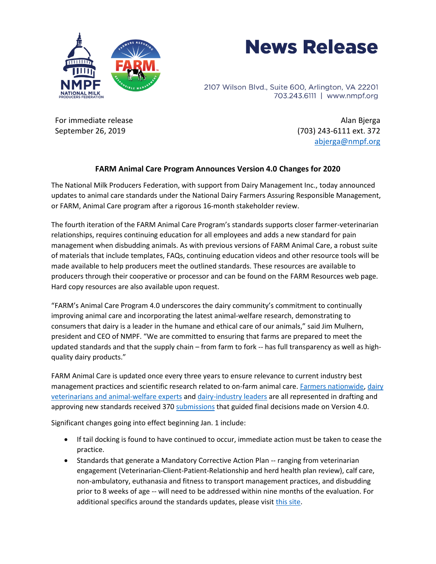



2107 Wilson Blvd., Suite 600, Arlington, VA 22201 703.243.6111 | www.nmpf.org

For immediate release September 26, 2019

Alan Bjerga (703) 243-6111 ext. 372 [abjerga@nmpf.org](mailto:abjerga@nmpf.org)

## **FARM Animal Care Program Announces Version 4.0 Changes for 2020**

The National Milk Producers Federation, with support from Dairy Management Inc., today announced updates to animal care standards under the National Dairy Farmers Assuring Responsible Management, or FARM, Animal Care program after a rigorous 16-month stakeholder review.

The fourth iteration of the FARM Animal Care Program's standards supports closer farmer-veterinarian relationships, requires continuing education for all employees and adds a new standard for pain management when disbudding animals. As with previous versions of FARM Animal Care, a robust suite of materials that include templates, FAQs, continuing education videos and other resource tools will be made available to help producers meet the outlined standards. These resources are available to producers through their cooperative or processor and can be found on the FARM Resources web page. Hard copy resources are also available upon request.

"FARM's Animal Care Program 4.0 underscores the dairy community's commitment to continually improving animal care and incorporating the latest animal-welfare research, demonstrating to consumers that dairy is a leader in the humane and ethical care of our animals," said Jim Mulhern, president and CEO of NMPF. "We are committed to ensuring that farms are prepared to meet the updated standards and that the supply chain – from farm to fork -- has full transparency as well as highquality dairy products."

FARM Animal Care is updated once every three years to ensure relevance to current industry best management practices and scientific research related to on-farm animal care. [Farmers nationwide,](https://nationaldairyfarm.com/farm-farmer-advisory-council/) dairy [veterinarians and animal-welfare experts](https://nationaldairyfarm.com/dairy-farm-standards/animal-care/technical-writing-group/) an[d dairy-industry leaders](https://www.nmpf.org/about/about-nmpf/board-of-directors/) are all represented in drafting and approving new standards received 370 [submissions](https://nationaldairyfarm.com/animal-care-open-comments/) that guided final decisions made on Version 4.0.

Significant changes going into effect beginning Jan. 1 include:

- If tail docking is found to have continued to occur, immediate action must be taken to cease the practice.
- Standards that generate a Mandatory Corrective Action Plan -- ranging from veterinarian engagement (Veterinarian-Client-Patient-Relationship and herd health plan review), calf care, non-ambulatory, euthanasia and fitness to transport management practices, and disbudding prior to 8 weeks of age -- will need to be addressed within nine months of the evaluation. For additional specifics around the standards updates, please visit this [site.](https://nationaldairyfarm.com/farm-animal-care-version-4-0/)